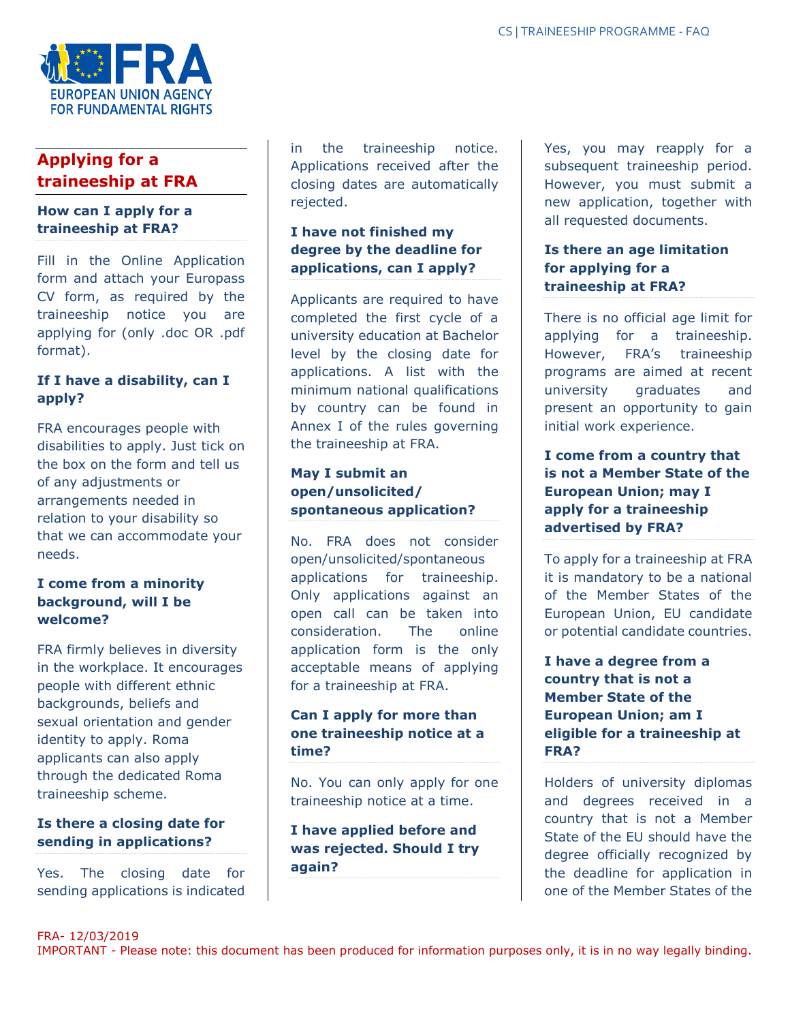

# **Applying for a traineeship at FRA**

### **How can I apply for a traineeship at FRA?**

Fill in the Online Application form and attach your Europass CV form, as required by the traineeship notice you are applying for (only .doc OR .pdf format).

# **If I have a disability, can I apply?**

FRA encourages people with disabilities to apply. Just tick on the box on the form and tell us of any adjustments or arrangements needed in relation to your disability so that we can accommodate your needs.

# **I come from a minority background, will I be welcome?**

FRA firmly believes in diversity in the workplace. It encourages people with different ethnic backgrounds, beliefs and sexual orientation and gender identity to apply. Roma applicants can also apply through the dedicated Roma traineeship scheme.

# **Is there a closing date for sending in applications?**

Yes. The closing date for sending applications is indicated

in the traineeship notice. Applications received after the closing dates are automatically rejected.

# **I have not finished my degree by the deadline for applications, can I apply?**

Applicants are required to have completed the first cycle of a university education at Bachelor level by the closing date for applications. A list with the minimum national qualifications by country can be found in Annex I of the rules governing the traineeship at FRA.

# **May I submit an open/unsolicited/ spontaneous application?**

No. FRA does not consider open/unsolicited/spontaneous applications for traineeship. Only applications against an open call can be taken into consideration. The online application form is the only acceptable means of applying for a traineeship at FRA.

# **Can I apply for more than one traineeship notice at a time?**

No. You can only apply for one traineeship notice at a time.

**I have applied before and was rejected. Should I try again?**

Yes, you may reapply for a subsequent traineeship period. However, you must submit a new application, together with all requested documents.

# **Is there an age limitation for applying for a traineeship at FRA?**

There is no official age limit for applying for a traineeship. However, FRA's traineeship programs are aimed at recent university graduates and present an opportunity to gain initial work experience.

**I come from a country that is not a Member State of the European Union; may I apply for a traineeship advertised by FRA?**

To apply for a traineeship at FRA it is mandatory to be a national of the Member States of the European Union, EU candidate or potential candidate countries.

**I have a degree from a country that is not a Member State of the European Union; am I eligible for a traineeship at FRA?**

Holders of university diplomas and degrees received in a country that is not a Member State of the EU should have the degree officially recognized by the deadline for application in one of the Member States of the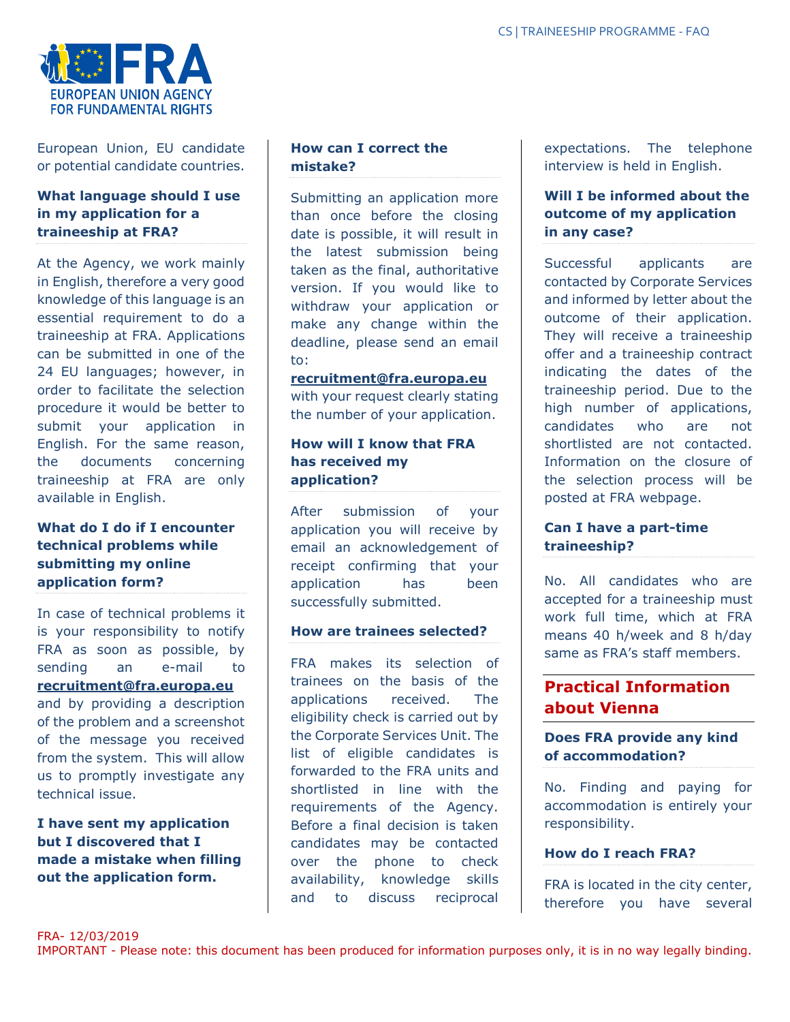

European Union, EU candidate or potential candidate countries.

## **What language should I use in my application for a traineeship at FRA?**

At the Agency, we work mainly in English, therefore a very good knowledge of this language is an essential requirement to do a traineeship at FRA. Applications can be submitted in one of the 24 EU languages; however, in order to facilitate the selection procedure it would be better to submit your application in English. For the same reason, the documents concerning traineeship at FRA are only available in English.

# **What do I do if I encounter technical problems while submitting my online application form?**

In case of technical problems it is your responsibility to notify FRA as soon as possible, by sending an e-mail to **recruitment@fra.europa.eu** and by providing a description of the problem and a screenshot of the message you received from the system. This will allow us to promptly investigate any technical issue.

**I have sent my application but I discovered that I made a mistake when filling out the application form.** 

# **How can I correct the mistake?**

Submitting an application more than once before the closing date is possible, it will result in the latest submission being taken as the final, authoritative version. If you would like to withdraw your application or make any change within the deadline, please send an email to:

#### **recruitment@fra.europa.eu**

with your request clearly stating the number of your application.

## **How will I know that FRA has received my application?**

After submission of your application you will receive by email an acknowledgement of receipt confirming that your application has been successfully submitted.

#### **How are trainees selected?**

FRA makes its selection of trainees on the basis of the applications received. The eligibility check is carried out by the Corporate Services Unit. The list of eligible candidates is forwarded to the FRA units and shortlisted in line with the requirements of the Agency. Before a final decision is taken candidates may be contacted over the phone to check availability, knowledge skills and to discuss reciprocal

expectations. The telephone interview is held in English.

# **Will I be informed about the outcome of my application in any case?**

Successful applicants are contacted by Corporate Services and informed by letter about the outcome of their application. They will receive a traineeship offer and a traineeship contract indicating the dates of the traineeship period. Due to the high number of applications, candidates who are not shortlisted are not contacted. Information on the closure of the selection process will be posted at FRA webpage.

# **Can I have a part-time traineeship?**

No. All candidates who are accepted for a traineeship must work full time, which at FRA means 40 h/week and 8 h/day same as FRA's staff members.

# **Practical Information about Vienna**

# **Does FRA provide any kind of accommodation?**

No. Finding and paying for accommodation is entirely your responsibility.

#### **How do I reach FRA?**

FRA is located in the city center, therefore you have several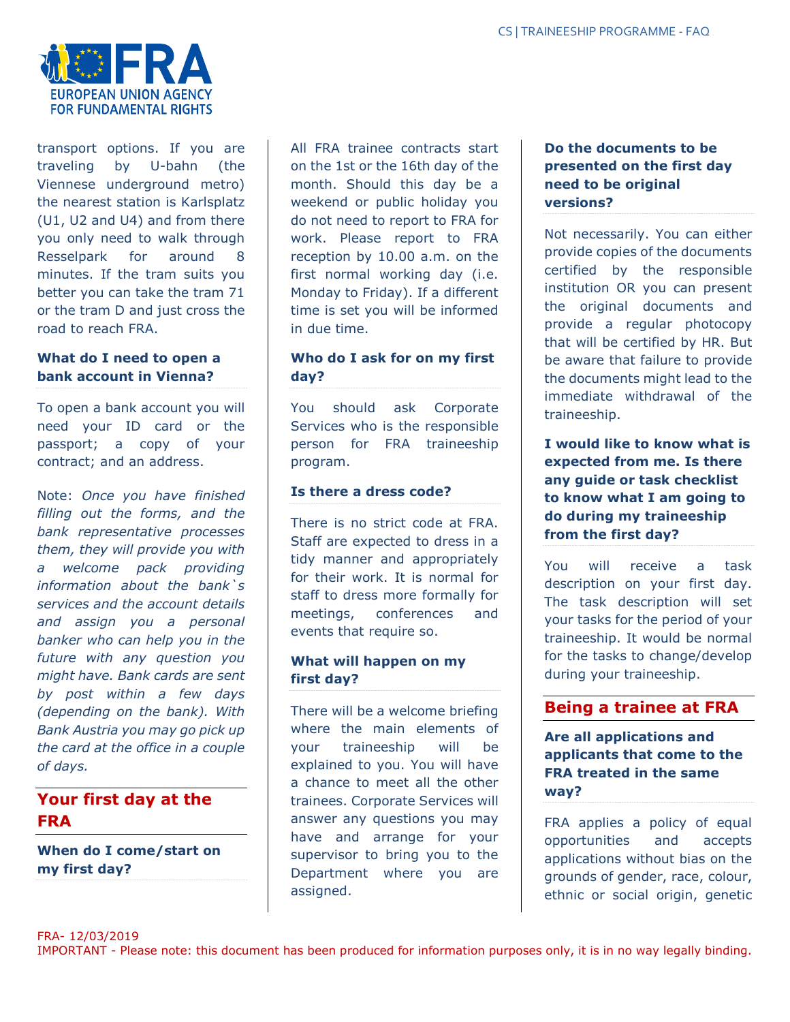

transport options. If you are traveling by U-bahn (the Viennese underground metro) the nearest station is Karlsplatz (U1, U2 and U4) and from there you only need to walk through Resselpark for around 8 minutes. If the tram suits you better you can take the tram 71 or the tram D and just cross the road to reach FRA.

# **What do I need to open a bank account in Vienna?**

To open a bank account you will need your ID card or the passport; a copy of your contract; and an address.

Note: *Once you have finished filling out the forms, and the bank representative processes them, they will provide you with a welcome pack providing information about the bank`s services and the account details and assign you a personal banker who can help you in the future with any question you might have. Bank cards are sent by post within a few days (depending on the bank). With Bank Austria you may go pick up the card at the office in a couple of days.*

# **Your first day at the FRA**

**When do I come/start on my first day?**

All FRA trainee contracts start on the 1st or the 16th day of the month. Should this day be a weekend or public holiday you do not need to report to FRA for work. Please report to FRA reception by 10.00 a.m. on the first normal working day (i.e. Monday to Friday). If a different time is set you will be informed in due time.

# **Who do I ask for on my first day?**

You should ask Corporate Services who is the responsible person for FRA traineeship program.

#### **Is there a dress code?**

There is no strict code at FRA. Staff are expected to dress in a tidy manner and appropriately for their work. It is normal for staff to dress more formally for meetings, conferences and events that require so.

# **What will happen on my first day?**

There will be a welcome briefing where the main elements of your traineeship will be explained to you. You will have a chance to meet all the other trainees. Corporate Services will answer any questions you may have and arrange for your supervisor to bring you to the Department where you are assigned.

# **Do the documents to be presented on the first day need to be original versions?**

Not necessarily. You can either provide copies of the documents certified by the responsible institution OR you can present the original documents and provide a regular photocopy that will be certified by HR. But be aware that failure to provide the documents might lead to the immediate withdrawal of the traineeship.

**I would like to know what is expected from me. Is there any guide or task checklist to know what I am going to do during my traineeship from the first day?**

You will receive a task description on your first day. The task description will set your tasks for the period of your traineeship. It would be normal for the tasks to change/develop during your traineeship.

# **Being a trainee at FRA**

**Are all applications and applicants that come to the FRA treated in the same way?**

FRA applies a policy of equal opportunities and accepts applications without bias on the grounds of gender, race, colour, ethnic or social origin, genetic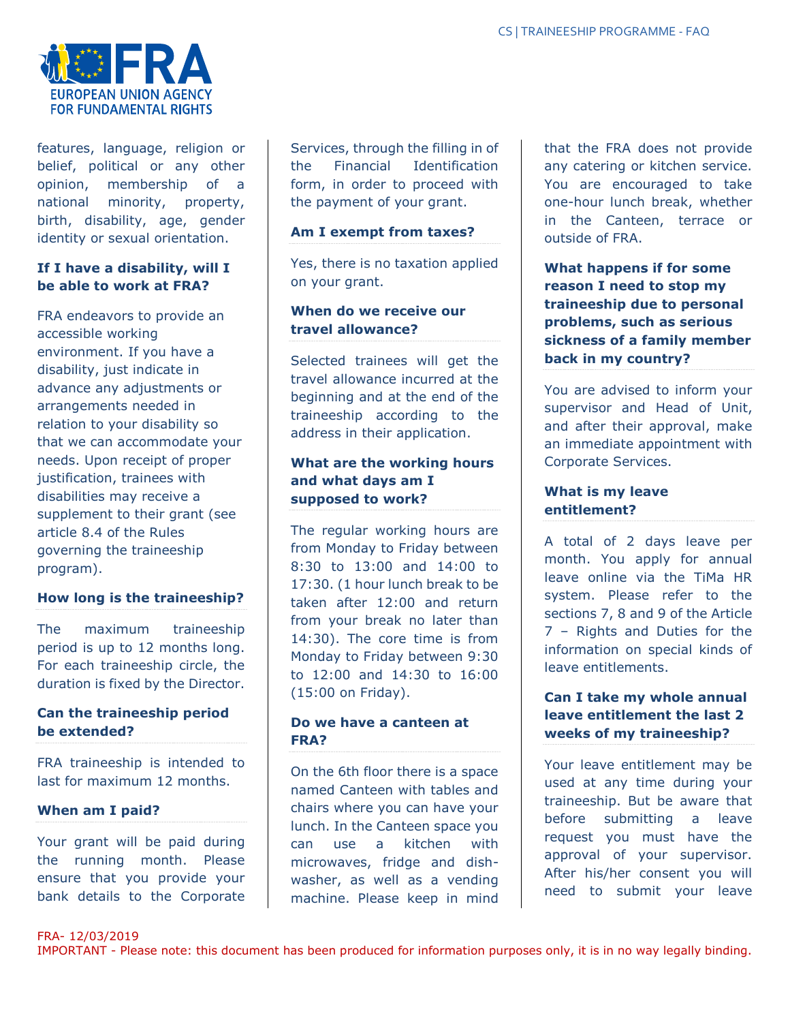

features, language, religion or belief, political or any other opinion, membership of a national minority, property, birth, disability, age, gender identity or sexual orientation.

# **If I have a disability, will I be able to work at FRA?**

FRA endeavors to provide an accessible working environment. If you have a disability, just indicate in advance any adjustments or arrangements needed in relation to your disability so that we can accommodate your needs. Upon receipt of proper justification, trainees with disabilities may receive a supplement to their grant (see article 8.4 of the Rules governing the traineeship program).

# **How long is the traineeship?**

The maximum traineeship period is up to 12 months long. For each traineeship circle, the duration is fixed by the Director.

# **Can the traineeship period be extended?**

FRA traineeship is intended to last for maximum 12 months.

# **When am I paid?**

Your grant will be paid during the running month. Please ensure that you provide your bank details to the Corporate Services, through the filling in of the Financial Identification form, in order to proceed with the payment of your grant.

#### **Am I exempt from taxes?**

Yes, there is no taxation applied on your grant.

### **When do we receive our travel allowance?**

Selected trainees will get the travel allowance incurred at the beginning and at the end of the traineeship according to the address in their application.

# **What are the working hours and what days am I supposed to work?**

The regular working hours are from Monday to Friday between 8:30 to 13:00 and 14:00 to 17:30. (1 hour lunch break to be taken after 12:00 and return from your break no later than 14:30). The core time is from Monday to Friday between 9:30 to 12:00 and 14:30 to 16:00 (15:00 on Friday).

#### **Do we have a canteen at FRA?**

On the 6th floor there is a space named Canteen with tables and chairs where you can have your lunch. In the Canteen space you can use a kitchen with microwaves, fridge and dishwasher, as well as a vending machine. Please keep in mind

that the FRA does not provide any catering or kitchen service. You are encouraged to take one-hour lunch break, whether in the Canteen, terrace or outside of FRA.

**What happens if for some reason I need to stop my traineeship due to personal problems, such as serious sickness of a family member back in my country?**

You are advised to inform your supervisor and Head of Unit, and after their approval, make an immediate appointment with Corporate Services.

# **What is my leave entitlement?**

A total of 2 days leave per month. You apply for annual leave online via the TiMa HR system. Please refer to the sections 7, 8 and 9 of the Article 7 – Rights and Duties for the information on special kinds of leave entitlements.

# **Can I take my whole annual leave entitlement the last 2 weeks of my traineeship?**

Your leave entitlement may be used at any time during your traineeship. But be aware that before submitting a leave request you must have the approval of your supervisor. After his/her consent you will need to submit your leave

FRA- 12/03/2019